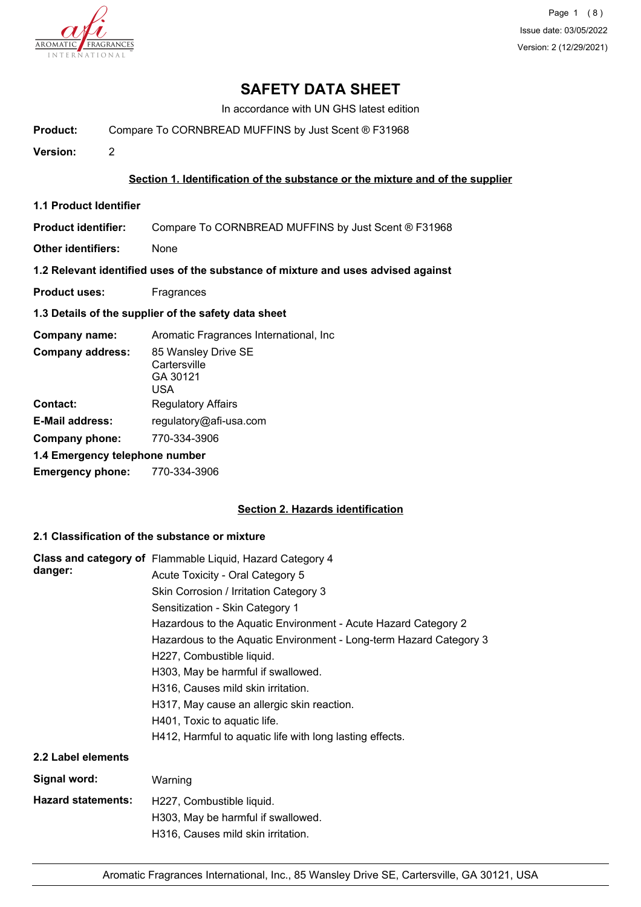

Page 1 (8) Issue date: 03/05/2022 Version: 2 (12/29/2021)

# **SAFETY DATA SHEET**

In accordance with UN GHS latest edition

**Product:** Compare To CORNBREAD MUFFINS by Just Scent ® F31968

**Version:** 2

#### **Section 1. Identification of the substance or the mixture and of the supplier**

**1.1 Product Identifier**

**Product identifier:** Compare To CORNBREAD MUFFINS by Just Scent ® F31968

**Other identifiers:** None

**1.2 Relevant identified uses of the substance of mixture and uses advised against**

- **Product uses:** Fragrances
- **1.3 Details of the supplier of the safety data sheet**

**Company name:** Aromatic Fragrances International, Inc 85 Wansley Drive SE **Cartersville** GA 30121 USA **Company address: Contact:** Regulatory Affairs **E-Mail address:** regulatory@afi-usa.com **Company phone:** 770-334-3906 **1.4 Emergency telephone number Emergency phone:** 770-334-3906

## **Section 2. Hazards identification**

## **2.1 Classification of the substance or mixture**

|                           | Class and category of Flammable Liquid, Hazard Category 4          |
|---------------------------|--------------------------------------------------------------------|
| danger:                   | Acute Toxicity - Oral Category 5                                   |
|                           | Skin Corrosion / Irritation Category 3                             |
|                           | Sensitization - Skin Category 1                                    |
|                           | Hazardous to the Aquatic Environment - Acute Hazard Category 2     |
|                           | Hazardous to the Aquatic Environment - Long-term Hazard Category 3 |
|                           | H227, Combustible liquid.                                          |
|                           | H303, May be harmful if swallowed.                                 |
|                           | H316, Causes mild skin irritation.                                 |
|                           | H317, May cause an allergic skin reaction.                         |
|                           | H401, Toxic to aquatic life.                                       |
|                           | H412, Harmful to aquatic life with long lasting effects.           |
| 2.2 Label elements        |                                                                    |
| Signal word:              | Warning                                                            |
| <b>Hazard statements:</b> | H227, Combustible liquid.                                          |
|                           | H303, May be harmful if swallowed.                                 |
|                           | H316, Causes mild skin irritation.                                 |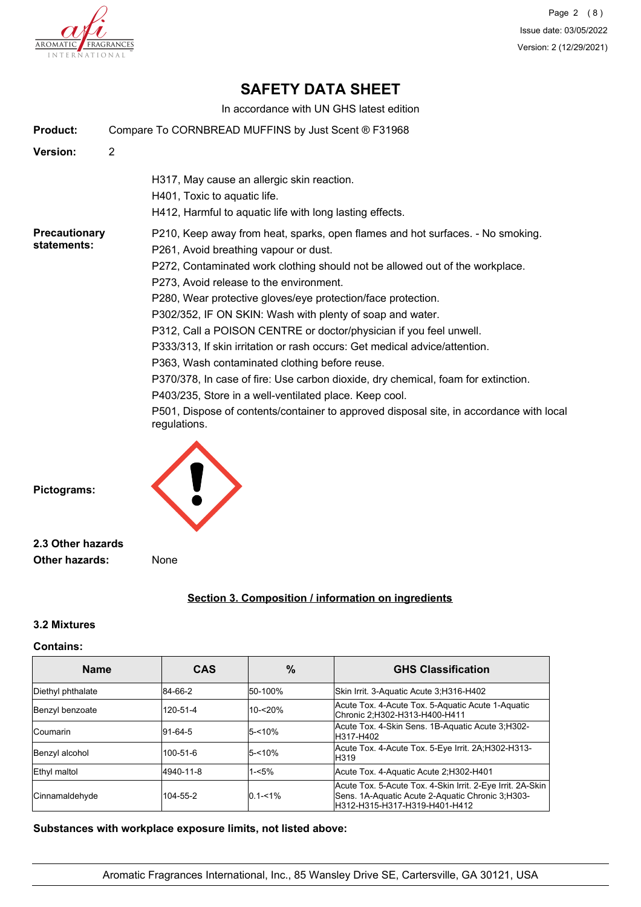

Page 2 (8) Issue date: 03/05/2022 Version: 2 (12/29/2021)

# **SAFETY DATA SHEET**

In accordance with UN GHS latest edition

| Product:                            | Compare To CORNBREAD MUFFINS by Just Scent ® F31968                                                                                                                                                                                                                                                                                                                                                                                                                                                                                                                                                                                                                                                                                                                                                                                             |  |  |
|-------------------------------------|-------------------------------------------------------------------------------------------------------------------------------------------------------------------------------------------------------------------------------------------------------------------------------------------------------------------------------------------------------------------------------------------------------------------------------------------------------------------------------------------------------------------------------------------------------------------------------------------------------------------------------------------------------------------------------------------------------------------------------------------------------------------------------------------------------------------------------------------------|--|--|
| Version:                            | $\overline{2}$                                                                                                                                                                                                                                                                                                                                                                                                                                                                                                                                                                                                                                                                                                                                                                                                                                  |  |  |
|                                     | H317, May cause an allergic skin reaction.<br>H401, Toxic to aquatic life.<br>H412, Harmful to aquatic life with long lasting effects.                                                                                                                                                                                                                                                                                                                                                                                                                                                                                                                                                                                                                                                                                                          |  |  |
| <b>Precautionary</b><br>statements: | P210, Keep away from heat, sparks, open flames and hot surfaces. - No smoking.<br>P261, Avoid breathing vapour or dust.<br>P272, Contaminated work clothing should not be allowed out of the workplace.<br>P273, Avoid release to the environment.<br>P280, Wear protective gloves/eye protection/face protection.<br>P302/352, IF ON SKIN: Wash with plenty of soap and water.<br>P312, Call a POISON CENTRE or doctor/physician if you feel unwell.<br>P333/313, If skin irritation or rash occurs: Get medical advice/attention.<br>P363, Wash contaminated clothing before reuse.<br>P370/378, In case of fire: Use carbon dioxide, dry chemical, foam for extinction.<br>P403/235, Store in a well-ventilated place. Keep cool.<br>P501, Dispose of contents/container to approved disposal site, in accordance with local<br>regulations. |  |  |
| Pictograms:                         |                                                                                                                                                                                                                                                                                                                                                                                                                                                                                                                                                                                                                                                                                                                                                                                                                                                 |  |  |
| 2.3 Other hazards                   |                                                                                                                                                                                                                                                                                                                                                                                                                                                                                                                                                                                                                                                                                                                                                                                                                                                 |  |  |

**Other hazards:** None

# **Section 3. Composition / information on ingredients**

#### **3.2 Mixtures**

#### **Contains:**

| <b>Name</b>       | <b>CAS</b> | $\%$                                                                                          | <b>GHS Classification</b>                                                                                                                         |
|-------------------|------------|-----------------------------------------------------------------------------------------------|---------------------------------------------------------------------------------------------------------------------------------------------------|
| Diethyl phthalate | 84-66-2    | 50-100%                                                                                       | Skin Irrit. 3-Aquatic Acute 3, H316-H402                                                                                                          |
| Benzyl benzoate   | 120-51-4   | Acute Tox. 4-Acute Tox. 5-Aquatic Acute 1-Aquatic<br>10-<20%<br>Chronic 2;H302-H313-H400-H411 |                                                                                                                                                   |
| Coumarin          | $91-64-5$  | $5 - 10%$                                                                                     | Acute Tox. 4-Skin Sens. 1B-Aquatic Acute 3:H302-<br>H317-H402                                                                                     |
| Benzyl alcohol    | 100-51-6   | Acute Tox. 4-Acute Tox. 5-Eye Irrit. 2A:H302-H313-<br>$5 - 10%$<br><b>H319</b>                |                                                                                                                                                   |
| Ethyl maltol      | 4940-11-8  | $1 - 5%$<br>Acute Tox. 4-Aquatic Acute 2;H302-H401                                            |                                                                                                                                                   |
| Cinnamaldehyde    | 104-55-2   | $0.1 - 1\%$                                                                                   | Acute Tox. 5-Acute Tox. 4-Skin Irrit. 2-Eye Irrit. 2A-Skin<br>Sens. 1A-Aquatic Acute 2-Aquatic Chronic 3, H303-<br>lH312-H315-H317-H319-H401-H412 |

**Substances with workplace exposure limits, not listed above:**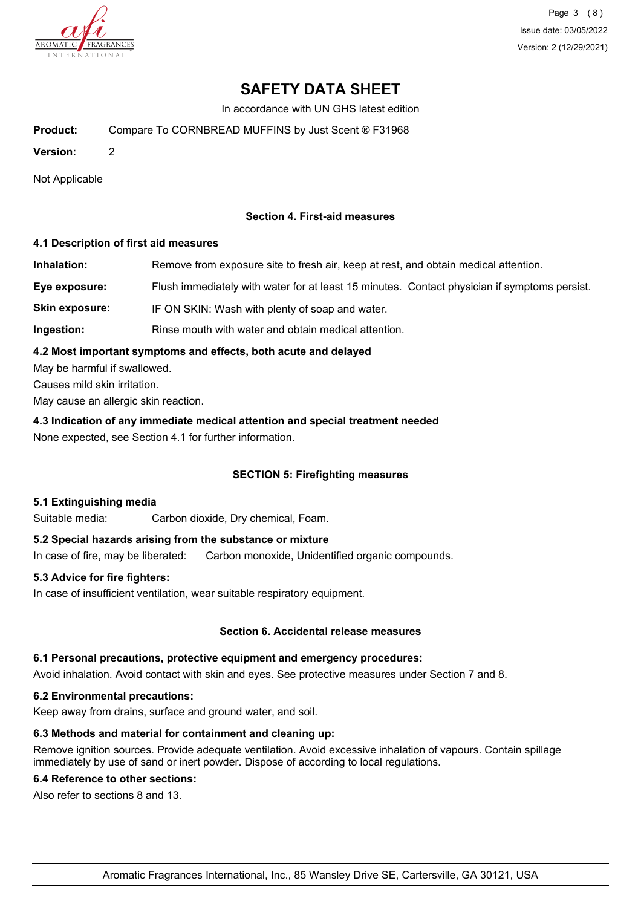

Page 3 (8) Issue date: 03/05/2022 Version: 2 (12/29/2021)

# **SAFETY DATA SHEET**

In accordance with UN GHS latest edition

**Product:** Compare To CORNBREAD MUFFINS by Just Scent ® F31968

**Version:** 2

Not Applicable

## **Section 4. First-aid measures**

#### **4.1 Description of first aid measures**

**Inhalation:** Remove from exposure site to fresh air, keep at rest, and obtain medical attention. **Eye exposure:** Flush immediately with water for at least 15 minutes. Contact physician if symptoms persist. Skin exposure: IF ON SKIN: Wash with plenty of soap and water.

**Ingestion:** Rinse mouth with water and obtain medical attention.

#### **4.2 Most important symptoms and effects, both acute and delayed**

May be harmful if swallowed.

Causes mild skin irritation.

May cause an allergic skin reaction.

**4.3 Indication of any immediate medical attention and special treatment needed** None expected, see Section 4.1 for further information.

## **SECTION 5: Firefighting measures**

## **5.1 Extinguishing media**

Suitable media: Carbon dioxide, Dry chemical, Foam.

## **5.2 Special hazards arising from the substance or mixture**

In case of fire, may be liberated: Carbon monoxide, Unidentified organic compounds.

## **5.3 Advice for fire fighters:**

In case of insufficient ventilation, wear suitable respiratory equipment.

## **Section 6. Accidental release measures**

#### **6.1 Personal precautions, protective equipment and emergency procedures:**

Avoid inhalation. Avoid contact with skin and eyes. See protective measures under Section 7 and 8.

#### **6.2 Environmental precautions:**

Keep away from drains, surface and ground water, and soil.

## **6.3 Methods and material for containment and cleaning up:**

Remove ignition sources. Provide adequate ventilation. Avoid excessive inhalation of vapours. Contain spillage immediately by use of sand or inert powder. Dispose of according to local regulations.

## **6.4 Reference to other sections:**

Also refer to sections 8 and 13.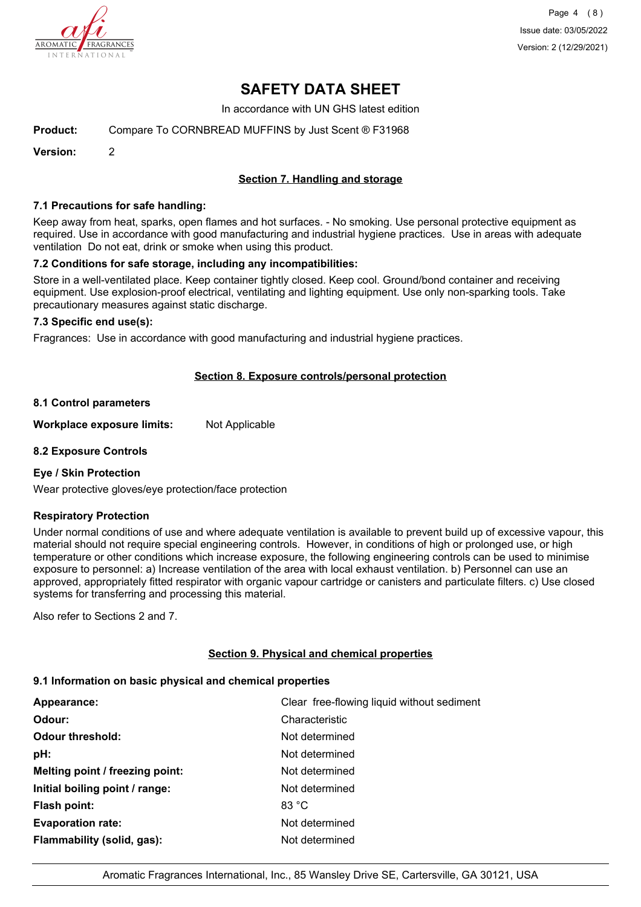

Page 4 (8) Issue date: 03/05/2022 Version: 2 (12/29/2021)

# **SAFETY DATA SHEET**

In accordance with UN GHS latest edition

**Product:** Compare To CORNBREAD MUFFINS by Just Scent ® F31968

**Version:** 2

## **Section 7. Handling and storage**

#### **7.1 Precautions for safe handling:**

Keep away from heat, sparks, open flames and hot surfaces. - No smoking. Use personal protective equipment as required. Use in accordance with good manufacturing and industrial hygiene practices. Use in areas with adequate ventilation Do not eat, drink or smoke when using this product.

#### **7.2 Conditions for safe storage, including any incompatibilities:**

Store in a well-ventilated place. Keep container tightly closed. Keep cool. Ground/bond container and receiving equipment. Use explosion-proof electrical, ventilating and lighting equipment. Use only non-sparking tools. Take precautionary measures against static discharge.

#### **7.3 Specific end use(s):**

Fragrances: Use in accordance with good manufacturing and industrial hygiene practices.

## **Section 8. Exposure controls/personal protection**

#### **8.1 Control parameters**

**Workplace exposure limits:** Not Applicable

#### **8.2 Exposure Controls**

## **Eye / Skin Protection**

Wear protective gloves/eye protection/face protection

## **Respiratory Protection**

Under normal conditions of use and where adequate ventilation is available to prevent build up of excessive vapour, this material should not require special engineering controls. However, in conditions of high or prolonged use, or high temperature or other conditions which increase exposure, the following engineering controls can be used to minimise exposure to personnel: a) Increase ventilation of the area with local exhaust ventilation. b) Personnel can use an approved, appropriately fitted respirator with organic vapour cartridge or canisters and particulate filters. c) Use closed systems for transferring and processing this material.

Also refer to Sections 2 and 7.

## **Section 9. Physical and chemical properties**

## **9.1 Information on basic physical and chemical properties**

| Appearance:                     | Clear free-flowing liquid without sediment |
|---------------------------------|--------------------------------------------|
| Odour:                          | Characteristic                             |
| <b>Odour threshold:</b>         | Not determined                             |
| pH:                             | Not determined                             |
| Melting point / freezing point: | Not determined                             |
| Initial boiling point / range:  | Not determined                             |
| Flash point:                    | 83 °C                                      |
| <b>Evaporation rate:</b>        | Not determined                             |
| Flammability (solid, gas):      | Not determined                             |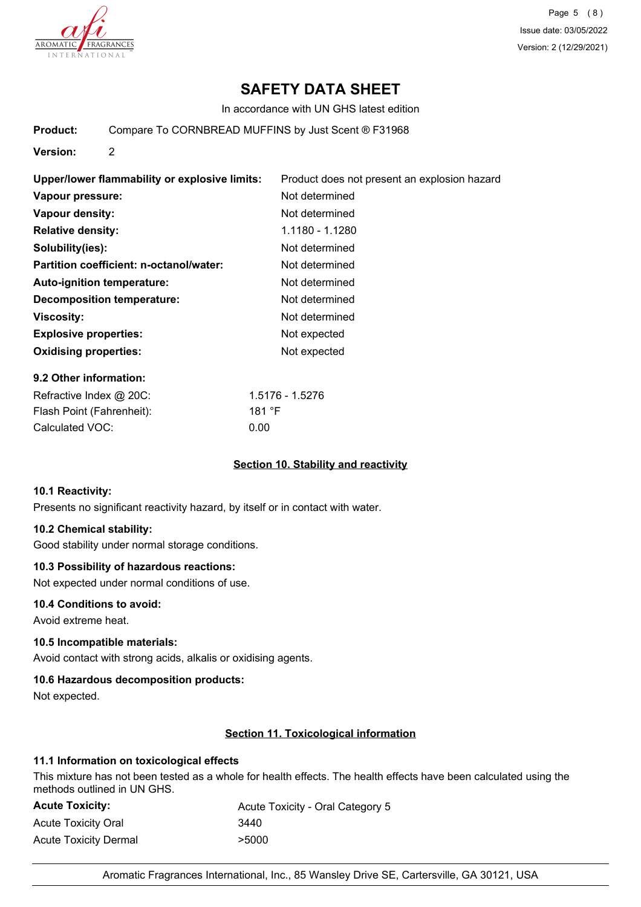

Page 5 (8) Issue date: 03/05/2022 Version: 2 (12/29/2021)

# **SAFETY DATA SHEET**

In accordance with UN GHS latest edition

**Product:** Compare To CORNBREAD MUFFINS by Just Scent ® F31968

**Version:** 2

| Upper/lower flammability or explosive limits: | Product does not present an explosion hazard |
|-----------------------------------------------|----------------------------------------------|
| Vapour pressure:                              | Not determined                               |
| Vapour density:                               | Not determined                               |
| <b>Relative density:</b>                      | 1.1180 - 1.1280                              |
| Solubility(ies):                              | Not determined                               |
| Partition coefficient: n-octanol/water:       | Not determined                               |
| Auto-ignition temperature:                    | Not determined                               |
| Decomposition temperature:                    | Not determined                               |
| <b>Viscosity:</b>                             | Not determined                               |
| <b>Explosive properties:</b>                  | Not expected                                 |
| <b>Oxidising properties:</b>                  | Not expected                                 |

#### **9.2 Other information:**

| Refractive Index @ 20C:   | 1.5176 - 1.5276 |
|---------------------------|-----------------|
| Flash Point (Fahrenheit): | 181 $\degree$ F |
| Calculated VOC:           | 0.00            |

## **Section 10. Stability and reactivity**

#### **10.1 Reactivity:**

Presents no significant reactivity hazard, by itself or in contact with water.

#### **10.2 Chemical stability:**

Good stability under normal storage conditions.

#### **10.3 Possibility of hazardous reactions:**

Not expected under normal conditions of use.

#### **10.4 Conditions to avoid:**

Avoid extreme heat.

## **10.5 Incompatible materials:**

Avoid contact with strong acids, alkalis or oxidising agents.

## **10.6 Hazardous decomposition products:**

Not expected.

## **Section 11. Toxicological information**

## **11.1 Information on toxicological effects**

This mixture has not been tested as a whole for health effects. The health effects have been calculated using the methods outlined in UN GHS.

| <b>Acute Toxicity:</b> | Acute Toxicity - Oral Category 5 |
|------------------------|----------------------------------|
| Acute Toxicity Oral    | 3440                             |
| Acute Toxicity Dermal  | >5000                            |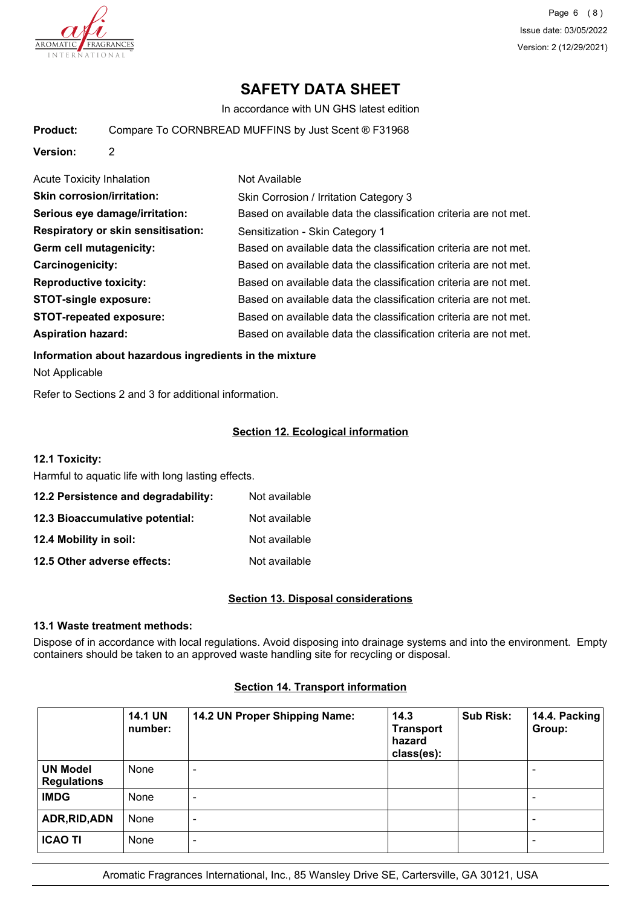

Page 6 (8) Issue date: 03/05/2022 Version: 2 (12/29/2021)

# **SAFETY DATA SHEET**

In accordance with UN GHS latest edition

**Product:** Compare To CORNBREAD MUFFINS by Just Scent ® F31968

**Version:** 2

| <b>Acute Toxicity Inhalation</b>          | Not Available                                                    |
|-------------------------------------------|------------------------------------------------------------------|
| <b>Skin corrosion/irritation:</b>         | Skin Corrosion / Irritation Category 3                           |
| Serious eye damage/irritation:            | Based on available data the classification criteria are not met. |
| <b>Respiratory or skin sensitisation:</b> | Sensitization - Skin Category 1                                  |
| Germ cell mutagenicity:                   | Based on available data the classification criteria are not met. |
| Carcinogenicity:                          | Based on available data the classification criteria are not met. |
| <b>Reproductive toxicity:</b>             | Based on available data the classification criteria are not met. |
| <b>STOT-single exposure:</b>              | Based on available data the classification criteria are not met. |
| <b>STOT-repeated exposure:</b>            | Based on available data the classification criteria are not met. |
| <b>Aspiration hazard:</b>                 | Based on available data the classification criteria are not met. |

**Information about hazardous ingredients in the mixture**

Not Applicable

Refer to Sections 2 and 3 for additional information.

## **Section 12. Ecological information**

## **12.1 Toxicity:**

Harmful to aquatic life with long lasting effects.

| 12.2 Persistence and degradability: | Not available |
|-------------------------------------|---------------|
| 12.3 Bioaccumulative potential:     | Not available |
| 12.4 Mobility in soil:              | Not available |
| 12.5 Other adverse effects:         | Not available |

## **Section 13. Disposal considerations**

## **13.1 Waste treatment methods:**

Dispose of in accordance with local regulations. Avoid disposing into drainage systems and into the environment. Empty containers should be taken to an approved waste handling site for recycling or disposal.

|                                       | <b>14.1 UN</b><br>number: | 14.2 UN Proper Shipping Name: | 14.3<br><b>Transport</b><br>hazard<br>class(es): | <b>Sub Risk:</b> | 14.4. Packing<br>Group: |
|---------------------------------------|---------------------------|-------------------------------|--------------------------------------------------|------------------|-------------------------|
| <b>UN Model</b><br><b>Regulations</b> | None                      | $\overline{\phantom{a}}$      |                                                  |                  | -                       |
| <b>IMDG</b>                           | None                      | $\overline{\phantom{a}}$      |                                                  |                  |                         |
| ADR, RID, ADN                         | None                      | $\overline{\phantom{a}}$      |                                                  |                  |                         |
| <b>ICAO TI</b>                        | None                      | $\overline{\phantom{a}}$      |                                                  |                  | -                       |

## **Section 14. Transport information**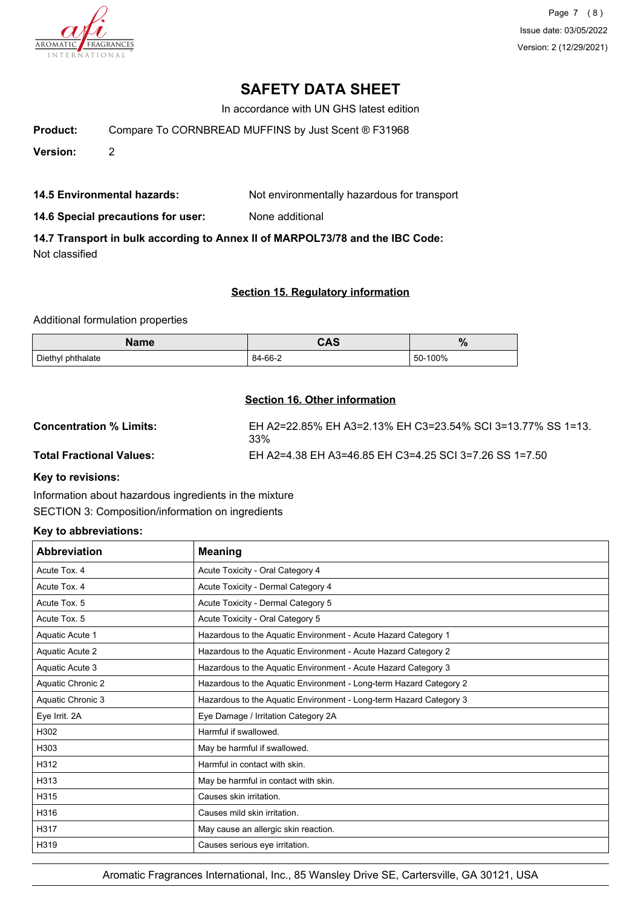

Page 7 (8) Issue date: 03/05/2022 Version: 2 (12/29/2021)

# **SAFETY DATA SHEET**

In accordance with UN GHS latest edition

**Product:** Compare To CORNBREAD MUFFINS by Just Scent ® F31968

**Version:** 2

**14.5 Environmental hazards:** Not environmentally hazardous for transport

**14.6 Special precautions for user:** None additional

**14.7 Transport in bulk according to Annex II of MARPOL73/78 and the IBC Code:** Not classified

## **Section 15. Regulatory information**

Additional formulation properties

| Name              | CAS     |         |
|-------------------|---------|---------|
| Diethyl phthalate | 84-66-2 | 50-100% |

## **Section 16. Other information**

| <b>Concentration % Limits:</b>  | EH A2=22.85% EH A3=2.13% EH C3=23.54% SCI 3=13.77% SS 1=13.<br>33% |
|---------------------------------|--------------------------------------------------------------------|
| <b>Total Fractional Values:</b> | EH A2=4.38 EH A3=46.85 EH C3=4.25 SCI 3=7.26 SS 1=7.50             |
|                                 |                                                                    |

**Key to revisions:**

Information about hazardous ingredients in the mixture SECTION 3: Composition/information on ingredients

## **Key to abbreviations:**

| <b>Abbreviation</b> | <b>Meaning</b>                                                     |
|---------------------|--------------------------------------------------------------------|
| Acute Tox. 4        | Acute Toxicity - Oral Category 4                                   |
| Acute Tox. 4        | Acute Toxicity - Dermal Category 4                                 |
| Acute Tox. 5        | Acute Toxicity - Dermal Category 5                                 |
| Acute Tox. 5        | Acute Toxicity - Oral Category 5                                   |
| Aquatic Acute 1     | Hazardous to the Aquatic Environment - Acute Hazard Category 1     |
| Aquatic Acute 2     | Hazardous to the Aquatic Environment - Acute Hazard Category 2     |
| Aquatic Acute 3     | Hazardous to the Aquatic Environment - Acute Hazard Category 3     |
| Aquatic Chronic 2   | Hazardous to the Aquatic Environment - Long-term Hazard Category 2 |
| Aquatic Chronic 3   | Hazardous to the Aquatic Environment - Long-term Hazard Category 3 |
| Eye Irrit. 2A       | Eye Damage / Irritation Category 2A                                |
| H302                | Harmful if swallowed.                                              |
| H303                | May be harmful if swallowed.                                       |
| H312                | Harmful in contact with skin.                                      |
| H313                | May be harmful in contact with skin.                               |
| H315                | Causes skin irritation.                                            |
| H316                | Causes mild skin irritation.                                       |
| H317                | May cause an allergic skin reaction.                               |
| H319                | Causes serious eye irritation.                                     |